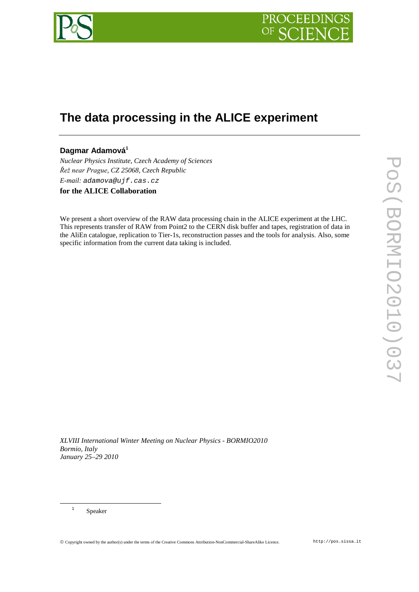

# **The data processing in the ALICE experiment**

# Dagmar Adamová<sup>1</sup>

*Nuclear Physics Institute, Czech Academy of Sciences Řež near Prague, CZ 25068, Czech Republic E-mail: adamova@ujf.cas.cz*

**for the ALICE Collaboration**

We present a short overview of the RAW data processing chain in the ALICE experiment at the LHC. This represents transfer of RAW from Point2 to the CERN disk buffer and tapes, registration of data in the AliEn catalogue, replication to Tier-1s, reconstruction passes and the tools for analysis. Also, some specific information from the current data taking is included.

*XLVIII International Winter Meeting on Nuclear Physics - BORMIO2010 Bormio, Italy January 25–29 2010*

<sup>1</sup> Speaker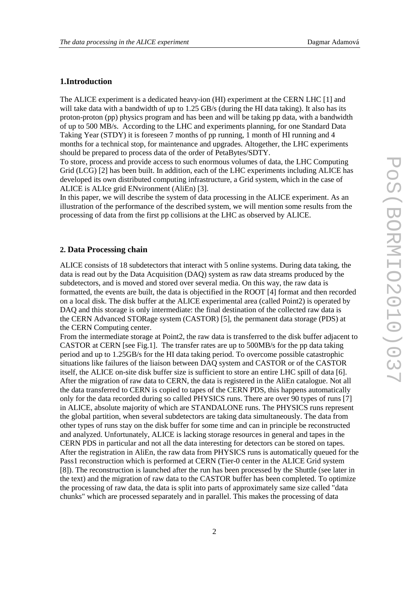# **1.Introduction**

The ALICE experiment is a dedicated heavy-ion (HI) experiment at the CERN LHC [1] and will take data with a bandwidth of up to 1.25 GB/s (during the HI data taking). It also has its proton-proton (pp) physics program and has been and will be taking pp data, with a bandwidth of up to 500 MB/s. According to the LHC and experiments planning, for one Standard Data Taking Year (STDY) it is foreseen 7 months of pp running, 1 month of HI running and 4 months for a technical stop, for maintenance and upgrades. Altogether, the LHC experiments should be prepared to process data of the order of PetaBytes/SDTY.

To store, process and provide access to such enormous volumes of data, the LHC Computing Grid (LCG) [2] has been built. In addition, each of the LHC experiments including ALICE has developed its own distributed computing infrastructure, a Grid system, which in the case of ALICE is ALIce grid ENvironment (AliEn) [3].

In this paper, we will describe the system of data processing in the ALICE experiment. As an illustration of the performance of the described system, we will mention some results from the processing of data from the first pp collisions at the LHC as observed by ALICE.

# **2. Data Processing chain**

ALICE consists of 18 subdetectors that interact with 5 online systems. During data taking, the data is read out by the Data Acquisition (DAQ) system as raw data streams produced by the subdetectors, and is moved and stored over several media. On this way, the raw data is formatted, the events are built, the data is objectified in the ROOT [4] format and then recorded on a local disk. The disk buffer at the ALICE experimental area (called Point2) is operated by DAQ and this storage is only intermediate: the final destination of the collected raw data is the CERN Advanced STORage system (CASTOR) [5], the permanent data storage (PDS) at the CERN Computing center.

From the intermediate storage at Point2, the raw data is transferred to the disk buffer adjacent to CASTOR at CERN [see Fig.1]. The transfer rates are up to 500MB/s for the pp data taking period and up to 1.25GB/s for the HI data taking period. To overcome possible catastrophic situations like failures of the liaison between DAQ system and CASTOR or of the CASTOR itself, the ALICE on-site disk buffer size is sufficient to store an entire LHC spill of data [6]. After the migration of raw data to CERN, the data is registered in the AliEn catalogue. Not all the data transferred to CERN is copied to tapes of the CERN PDS, this happens automatically only for the data recorded during so called PHYSICS runs. There are over 90 types of runs [7] in ALICE, absolute majority of which are STANDALONE runs. The PHYSICS runs represent the global partition, when several subdetectors are taking data simultaneously. The data from other types of runs stay on the disk buffer for some time and can in principle be reconstructed and analyzed. Unfortunately, ALICE is lacking storage resources in general and tapes in the CERN PDS in particular and not all the data interesting for detectors can be stored on tapes. After the registration in AliEn, the raw data from PHYSICS runs is automatically queued for the Pass1 reconstruction which is performed at CERN (Tier-0 center in the ALICE Grid system [8]). The reconstruction is launched after the run has been processed by the Shuttle (see later in the text) and the migration of raw data to the CASTOR buffer has been completed. To optimize the processing of raw data, the data is split into parts of approximately same size called "data chunks" which are processed separately and in parallel. This makes the processing of data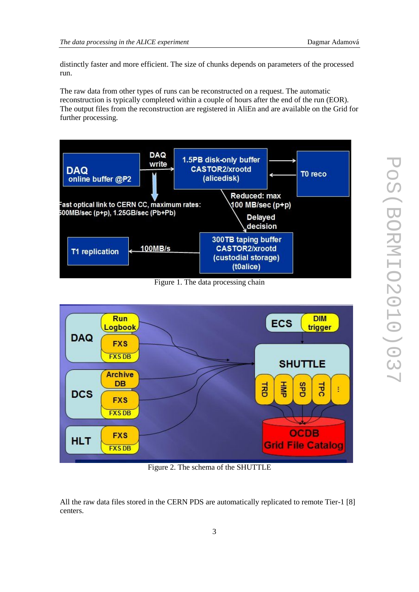distinctly faster and more efficient. The size of chunks depends on parameters of the processed run.

The raw data from other types of runs can be reconstructed on a request. The automatic reconstruction is typically completed within a couple of hours after the end of the run (EOR). The output files from the reconstruction are registered in AliEn and are available on the Grid for further processing.



Figure 1. The data processing chain



Figure 2. The schema of the SHUTTLE

All the raw data files stored in the CERN PDS are automatically replicated to remote Tier-1 [8] centers.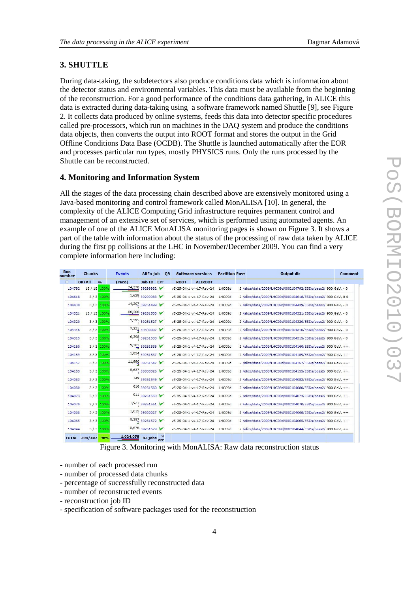# **3. SHUTTLE**

During data-taking, the subdetectors also produce conditions data which is information about the detector status and environmental variables. This data must be available from the beginning of the reconstruction. For a good performance of the conditions data gathering, in ALICE this data is extracted during data-taking using a software framework named Shuttle [9], see Figure 2. It collects data produced by online systems, feeds this data into detector specific procedures called pre-processors, which run on machines in the DAQ system and produce the conditions data objects, then converts the output into ROOT format and stores the output in the Grid Offline Conditions Data Base (OCDB). The Shuttle is launched automatically after the EOR and processes particular run types, mostly PHYSICS runs. Only the runs processed by the Shuttle can be reconstructed.

### **4. Monitoring and Information System**

All the stages of the data processing chain described above are extensively monitored using a Java-based monitoring and control framework called MonALISA [10]. In general, the complexity of the ALICE Computing Grid infrastructure requires permanent control and management of an extensive set of services, which is performed using automated agents. An example of one of the ALICE MonALISA monitoring pages is shown on Figure 3. It shows a part of the table with information about the status of the processing of raw data taken by ALICE during the first pp collisions at the LHC in November/December 2009. You can find a very complete information here including:

| Run<br><b>Chunks</b><br>number |                   | <b>Events</b> |           | <b>AliEn job</b> |  | OA | <b>Software versions</b> |                         | <b>Partition Pass</b> |  | <b>Output dir</b>                                            | <b>Comment</b> |
|--------------------------------|-------------------|---------------|-----------|------------------|--|----|--------------------------|-------------------------|-----------------------|--|--------------------------------------------------------------|----------------|
| 田                              | OK/All            | $\frac{9}{6}$ | (reco)    | Job ID Err       |  |    | <b>ROOT</b>              | <b>ALIROOT</b>          |                       |  |                                                              |                |
| 104792                         | 18 / 18 100%      |               |           | 74,378 39299982  |  |    |                          | v5-25-04-1 v4-17-Rev-24 | LHC09d                |  | 2 /alice/data/2009/LHC09d/000104792/ESDs/pass2/ 900 GeV, - 0 |                |
| 104618                         |                   | $3/3$ 100%    |           | 1,629 39299983   |  |    |                          | v5-25-04-1 v4-17-Rev-24 | LHC09d                |  | 2 /alice/data/2009/LHC09d/000104618/ESDs/pass2/ 900 GeV, 0 0 |                |
| 104439                         |                   | $3/3$ 100%    |           | 14,207 39261499  |  |    |                          | v5-25-04-1 v4-17-Rev-24 | LHC09d                |  | 2 /alice/data/2009/LHC09d/000104439/ESDs/pass2/ 900 GeV, - 0 |                |
| 104321                         | 13 / 13 100%      |               |           | 88,208 39261500  |  |    |                          | v5-25-04-1 v4-17-Rev-24 | LHC09d                |  | 2 /alice/data/2009/LHC09d/000104321/ESDs/pass2/ 900 GeV, - 0 |                |
| 104320                         |                   | 3/3 100%      |           | 2,395 39261527   |  |    |                          | v5-25-04-1 v4-17-Rev-24 | LHC09d                |  | 2 /alice/data/2009/LHC09d/000104320/ESDs/pass2/ 900 GeV, - 0 |                |
| 104316                         |                   | $3/3$ 100%    |           | 7,231 39300007   |  |    |                          | v5-25-04-1 v4-17-Rev-24 | LHC09d                |  | 2 /alice/data/2009/LHC09d/000104316/ESDs/pass2/ 900 GeV, - 0 |                |
| 104315                         |                   | $3/3$ 100%    |           | 6,398 39261533   |  |    |                          | v5-25-04-1 v4-17-Rev-24 | LHC09d                |  | 2 /alice/data/2009/LHC09d/000104315/ESDs/pass2/ 900 GeV, - 0 |                |
| 104160                         |                   | $3/3$ 100%    |           | $9,161$ 39261536 |  |    |                          | v5-25-04-1 v4-17-Rev-24 | LHC09d                |  | 2 /alice/data/2009/LHC09d/000104160/ESDs/pass2/ 900 GeV, ++  |                |
| 104159                         |                   | $3/3$ 100%    |           | 1,854 39261537   |  |    |                          | v5-25-04-1 v4-17-Rev-24 | LHC09d                |  | 2 /alice/data/2009/LHC09d/000104159/ESDs/pass2/ 900 GeV, ++  |                |
| 104157                         |                   | 3/3 100%      |           | 11,990 39261547  |  |    |                          | v5-25-04-1 v4-17-Rev-24 | LHC09d                |  | 2 /alice/data/2009/LHC09d/000104157/ESDs/pass2/ 900 GeV, ++  |                |
| 104155                         |                   | $3/3$ 100%    |           | 5,637 39300026   |  |    |                          | v5-25-04-1 v4-17-Rev-24 | LHC09d                |  | 2 /alice/data/2009/LHC09d/000104155/ESDs/pass2/ 900 GeV, ++  |                |
| 104083                         |                   | $3/3$ 100%    |           | 749 39261549     |  |    |                          | v5-25-04-1 v4-17-Rev-24 | LHC09d                |  | 2 /alice/data/2009/LHC09d/000104083/ESDs/pass2/ 900 GeV, ++  |                |
| 104080                         |                   | 3/3 100%      |           | 616 39261560     |  |    |                          | v5-25-04-1 v4-17-Rev-24 | LHC09d                |  | 2 /alice/data/2009/LHC09d/000104080/ESDs/pass2/ 900 GeV, ++  |                |
| 104073                         |                   | $3/3$ 100%    |           | 911 39261559     |  |    |                          | v5-25-04-1 v4-17-Rev-24 | LHC09d                |  | 2 /alice/data/2009/LHC09d/000104073/ESDs/pass2/ 900 GeV, ++  |                |
| 104070                         |                   | $2/2$ 100%    |           | $1,921$ 39261561 |  |    |                          | v5-25-04-1 v4-17-Rev-24 | LHC09d                |  | 2 /alice/data/2009/LHC09d/000104070/ESDs/pass2/ 900 GeV, ++  |                |
| 104068                         |                   | 3/3 100%      |           | 1,615 39300027 ₩ |  |    |                          | v5-25-04-1 v4-17-Rev-24 | LHC09d                |  | 2 /alice/data/2009/LHC09d/000104068/ESDs/pass2/ 900 GeV, ++  |                |
| 104065                         |                   | $3/3$ 100%    |           | 8,387 39261572   |  |    |                          | v5-25-04-1 v4-17-Rev-24 | LHC09d                |  | 2 /alice/data/2009/LHC09d/000104065/ESDs/pass2/ 900 GeV, ++  |                |
| 104044                         |                   | $3/3$ 100%    |           | 5,676 39261579   |  |    |                          | v5-25-04-1 v4-17-Rev-24 | LHC09d                |  | 2 /alice/data/2009/LHC09d/000104044/ESDs/pass2/ 900 GeV, ++  |                |
|                                | TOTAL 394/402 98% |               | 1,024,058 | 43 jobs err      |  |    |                          |                         |                       |  |                                                              |                |

Figure 3. Monitoring with MonALISA: Raw data reconstruction status

- number of each processed run
- number of processed data chunks
- percentage of successfully reconstructed data
- number of reconstructed events
- reconstruction job ID

- specification of software packages used for the reconstruction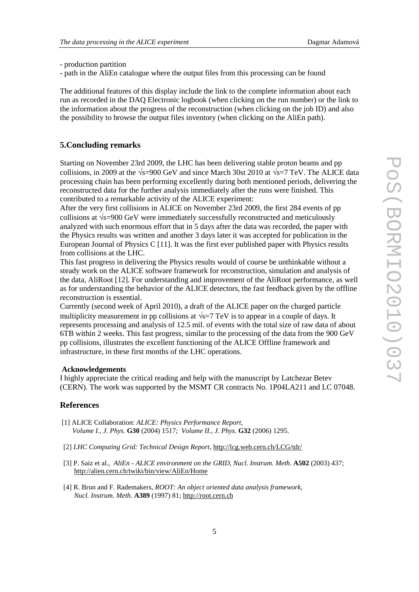- production partition

- path in the AliEn catalogue where the output files from this processing can be found

The additional features of this display include the link to the complete information about each run as recorded in the DAQ Electronic logbook (when clicking on the run number) or the link to the information about the progress of the reconstruction (when clicking on the job ID) and also the possibility to browse the output files inventory (when clicking on the AliEn path).

# **5.Concluding remarks**

Starting on November 23rd 2009, the LHC has been delivering stable proton beams and pp collisions, in 2009 at the  $\sqrt{s}$ =900 GeV and since March 30st 2010 at  $\sqrt{s}$ =7 TeV. The ALICE data processing chain has been performing excellently during both mentioned periods, delivering the reconstructed data for the further analysis immediately after the runs were finished. This contributed to a remarkable activity of the ALICE experiment:

After the very first collisions in ALICE on November 23rd 2009, the first 284 events of pp collisions at  $\sqrt{s}$ =900 GeV were immediately successfully reconstructed and meticulously analyzed with such enormous effort that in 5 days after the data was recorded, the paper with the Physics results was written and another 3 days later it was accepted for publication in the European Journal of Physics C [11]. It was the first ever published paper with Physics results from collisions at the LHC.

This fast progress in delivering the Physics results would of course be unthinkable without a steady work on the ALICE software framework for reconstruction, simulation and analysis of the data, AliRoot [12]. For understanding and improvement of the AliRoot performance, as well as for understanding the behavior of the ALICE detectors, the fast feedback given by the offline reconstruction is essential.

Currently (second week of April 2010), a draft of the ALICE paper on the charged particle multiplicity measurement in pp collisions at  $\sqrt{s}$ =7 TeV is to appear in a couple of days. It represents processing and analysis of 12.5 mil. of events with the total size of raw data of about 6TB within 2 weeks. This fast progress, similar to the processing of the data from the 900 GeV pp collisions, illustrates the excellent functioning of the ALICE Offline framework and infrastructure, in these first months of the LHC operations.

#### **Acknowledgements**

I highly appreciate the critical reading and help with the manuscript by Latchezar Betev (CERN). The work was supported by the MSMT CR contracts No. 1P04LA211 and LC 07048.

# **References**

- [1] ALICE Collaboration: *ALICE: Physics Performance Report, Volume I.*, *J. Phys.* **G30** (2004) 1517; *Volume II., J. Phys.* **G32** (2006) 1295.
- [2] *LHC Computing Grid: Technical Design Report*, http://lcg.web.cern.ch/LCG/tdr/
- [3] P. Saiz et al., *AliEn ALICE environment on the GRID, Nucl. Instrum. Meth*. **A502** (2003) 437; http://alien.cern.ch/twiki/bin/view/AliEn/Home
- [4] R. Brun and F. Rademakers, *ROOT: An object oriented data analysis framework, Nucl. Instrum. Meth.* **A389** (1997) 81; http://root.cern.ch